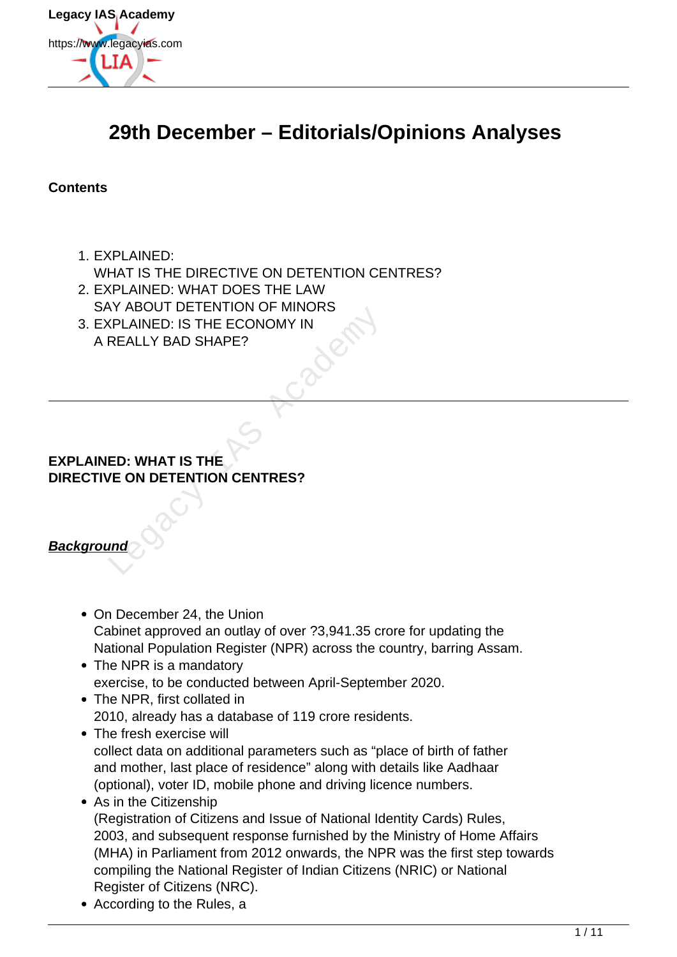

# **29th December – Editorials/Opinions Analyses**

**Contents**

- 1. EXPLAINED: WHAT IS THE DIRECTIVE ON DETENTION CENTRES?
- 2. EXPLAINED: WHAT DOES THE LAW SAY ABOUT DETENTION OF MINORS
- 3. EXPLAINED: IS THE ECONOMY IN A REALLY BAD SHAPE? FILADOOT DETENTION OF MINONS<br>
FILAINED: IS THE ECONOMY IN<br>
REALLY BAD SHAPE?<br>
FILALLY BAD SHAPE?<br>
FILALLY BAD SHAPE?<br>
FILALLY BAD SHAPE?<br>
FILALLY BAD SHAPE?<br>
FILALLY BAD SHAPE?<br>
FILALLY BAD SHAPE?

## **EXPLAINED: WHAT IS THE DIRECTIVE ON DETENTION CENTRES?**

# **Background**

- On December 24, the Union Cabinet approved an outlay of over ?3,941.35 crore for updating the National Population Register (NPR) across the country, barring Assam.
- The NPR is a mandatory exercise, to be conducted between April-September 2020.
- The NPR, first collated in 2010, already has a database of 119 crore residents.
- The fresh exercise will collect data on additional parameters such as "place of birth of father and mother, last place of residence" along with details like Aadhaar (optional), voter ID, mobile phone and driving licence numbers.
- As in the Citizenship (Registration of Citizens and Issue of National Identity Cards) Rules, 2003, and subsequent response furnished by the Ministry of Home Affairs (MHA) in Parliament from 2012 onwards, the NPR was the first step towards compiling the National Register of Indian Citizens (NRIC) or National Register of Citizens (NRC).
- According to the Rules, a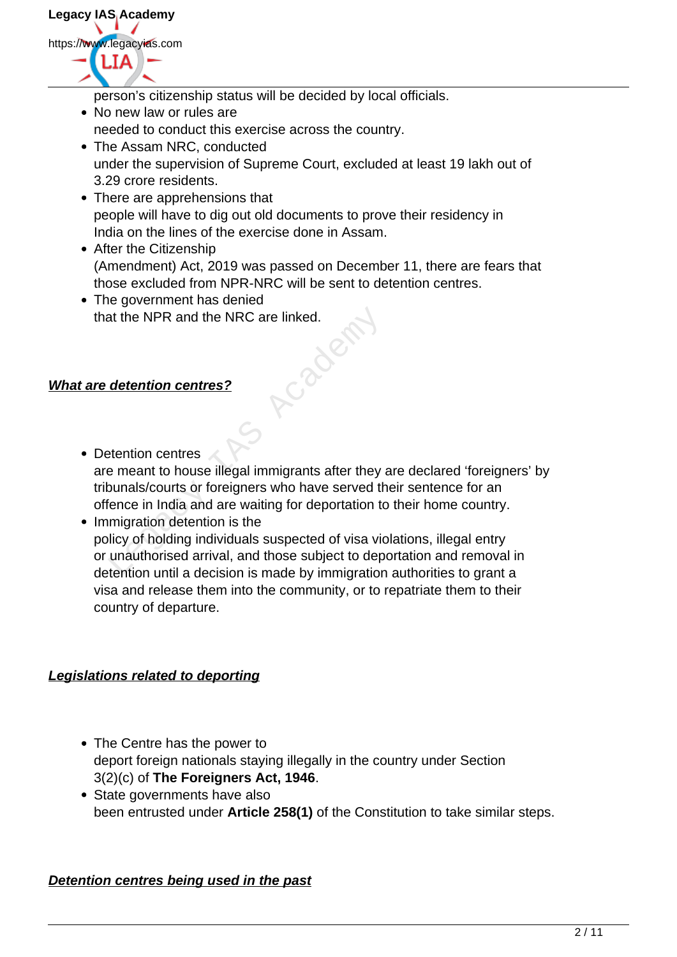**Legacy IAS Academy** https://www.legacyias.com

person's citizenship status will be decided by local officials.

- No new law or rules are needed to conduct this exercise across the country.
- The Assam NRC, conducted under the supervision of Supreme Court, excluded at least 19 lakh out of 3.29 crore residents.
- There are apprehensions that people will have to dig out old documents to prove their residency in India on the lines of the exercise done in Assam.
- After the Citizenship (Amendment) Act, 2019 was passed on December 11, there are fears that those excluded from NPR-NRC will be sent to detention centres.
- The government has denied that the NPR and the NRC are linked.

## **What are detention centres?**

- Detention centres are meant to house illegal immigrants after they are declared 'foreigners' by tribunals/courts or foreigners who have served their sentence for an offence in India and are waiting for deportation to their home country. at the NPR and the NRC are linked.<br> **State of the Academy of the Academy of the Academy Control**<br> **Extention centres**<br> **Extention centres**<br> **Extention centres**<br> **Extending in the State of the Academy of the Academy of the**
- Immigration detention is the policy of holding individuals suspected of visa violations, illegal entry or unauthorised arrival, and those subject to deportation and removal in detention until a decision is made by immigration authorities to grant a visa and release them into the community, or to repatriate them to their country of departure.

#### **Legislations related to deporting**

- The Centre has the power to deport foreign nationals staying illegally in the country under Section 3(2)(c) of **The Foreigners Act, 1946**.
- State governments have also been entrusted under **Article 258(1)** of the Constitution to take similar steps.

#### **Detention centres being used in the past**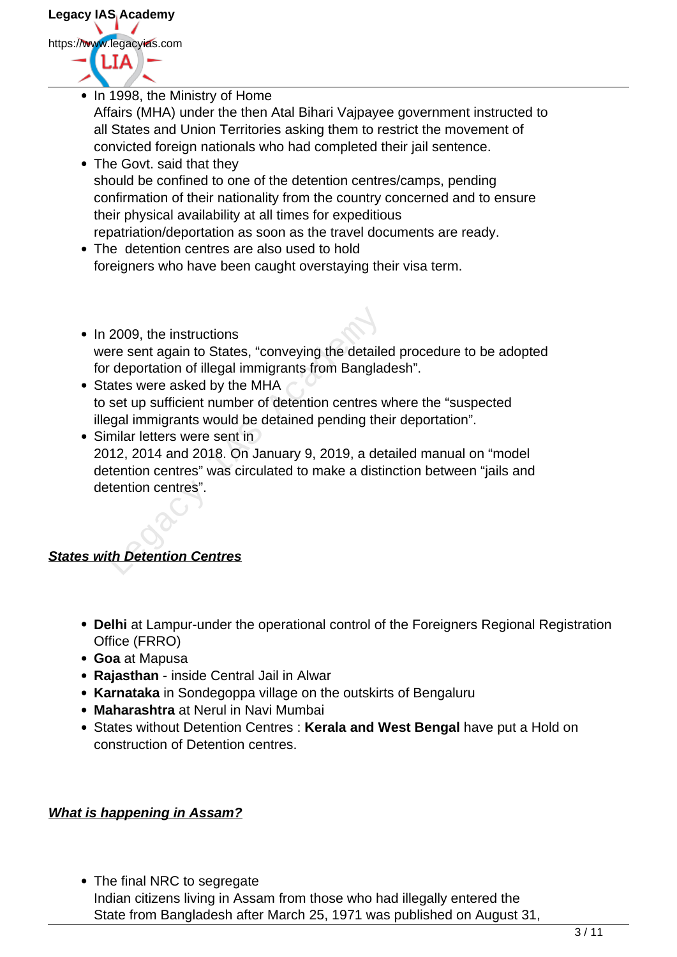

- In 1998, the Ministry of Home Affairs (MHA) under the then Atal Bihari Vajpayee government instructed to all States and Union Territories asking them to restrict the movement of convicted foreign nationals who had completed their jail sentence. • The Govt. said that they should be confined to one of the detention centres/camps, pending
	- confirmation of their nationality from the country concerned and to ensure their physical availability at all times for expeditious

repatriation/deportation as soon as the travel documents are ready.

- The detention centres are also used to hold foreigners who have been caught overstaying their visa term.
- In 2009, the instructions were sent again to States, "conveying the detailed procedure to be adopted for deportation of illegal immigrants from Bangladesh".
- States were asked by the MHA to set up sufficient number of detention centres where the "suspected illegal immigrants would be detained pending their deportation".
- Similar letters were sent in 2012, 2014 and 2018. On January 9, 2019, a detailed manual on "model detention centres" was circulated to make a distinction between "jails and detention centres". 2009, the instructions<br>pre sent again to States, "conveying the detaile<br>deportation of illegal immigrants from Banglac<br>ates were asked by the MHA<br>set up sufficient number of detention centres v<br>gal immigrants would be deta

# **States with Detention Centres**

- **Delhi** at Lampur-under the operational control of the Foreigners Regional Registration Office (FRRO)
- **Goa** at Mapusa
- **Rajasthan** inside Central Jail in Alwar
- **Karnataka** in Sondegoppa village on the outskirts of Bengaluru
- **Maharashtra** at Nerul in Navi Mumbai
- States without Detention Centres : **Kerala and West Bengal** have put a Hold on construction of Detention centres.

#### **What is happening in Assam?**

• The final NRC to segregate Indian citizens living in Assam from those who had illegally entered the State from Bangladesh after March 25, 1971 was published on August 31,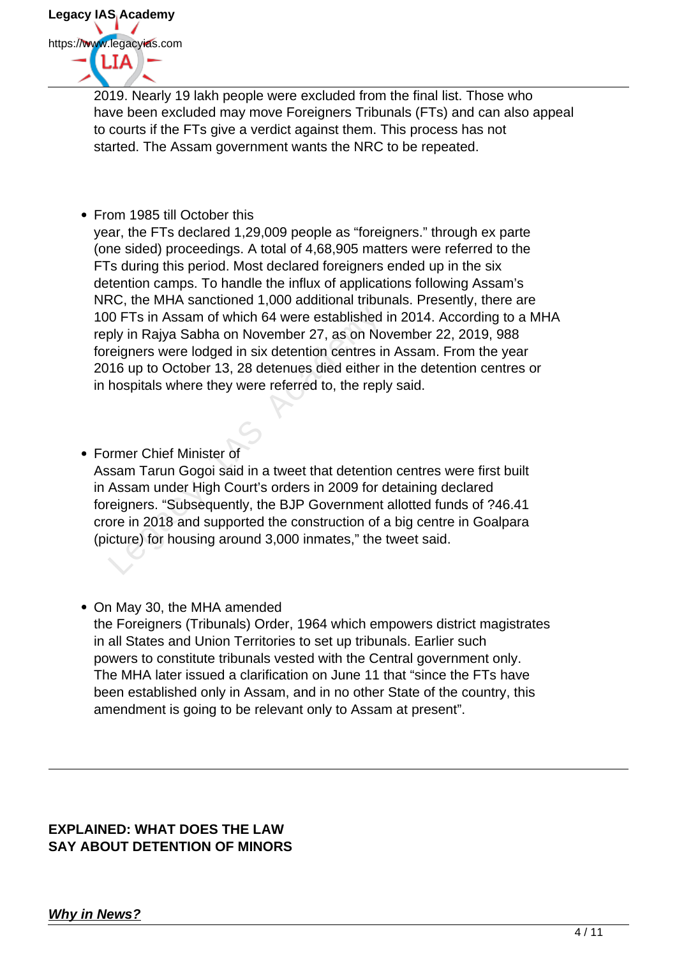

2019. Nearly 19 lakh people were excluded from the final list. Those who have been excluded may move Foreigners Tribunals (FTs) and can also appeal to courts if the FTs give a verdict against them. This process has not started. The Assam government wants the NRC to be repeated.

• From 1985 till October this

year, the FTs declared 1,29,009 people as "foreigners." through ex parte (one sided) proceedings. A total of 4,68,905 matters were referred to the FTs during this period. Most declared foreigners ended up in the six detention camps. To handle the influx of applications following Assam's NRC, the MHA sanctioned 1,000 additional tribunals. Presently, there are 100 FTs in Assam of which 64 were established in 2014. According to a MHA reply in Rajya Sabha on November 27, as on November 22, 2019, 988 foreigners were lodged in six detention centres in Assam. From the year 2016 up to October 13, 28 detenues died either in the detention centres or in hospitals where they were referred to, the reply said.

- Former Chief Minister of Assam Tarun Gogoi said in a tweet that detention centres were first built in Assam under High Court's orders in 2009 for detaining declared foreigners. "Subsequently, the BJP Government allotted funds of ?46.41 crore in 2018 and supported the construction of a big centre in Goalpara (picture) for housing around 3,000 inmates," the tweet said. 0 FTs in Assam of which 64 were established<br>ply in Rajya Sabha on November 27, as on No<br>reigners were lodged in six detention centres ir<br>16 up to October 13, 28 detenues died either i<br>hospitals where they were referred to,
- On May 30, the MHA amended the Foreigners (Tribunals) Order, 1964 which empowers district magistrates in all States and Union Territories to set up tribunals. Earlier such powers to constitute tribunals vested with the Central government only. The MHA later issued a clarification on June 11 that "since the FTs have been established only in Assam, and in no other State of the country, this amendment is going to be relevant only to Assam at present".

#### **EXPLAINED: WHAT DOES THE LAW SAY ABOUT DETENTION OF MINORS**

# **Why in News?**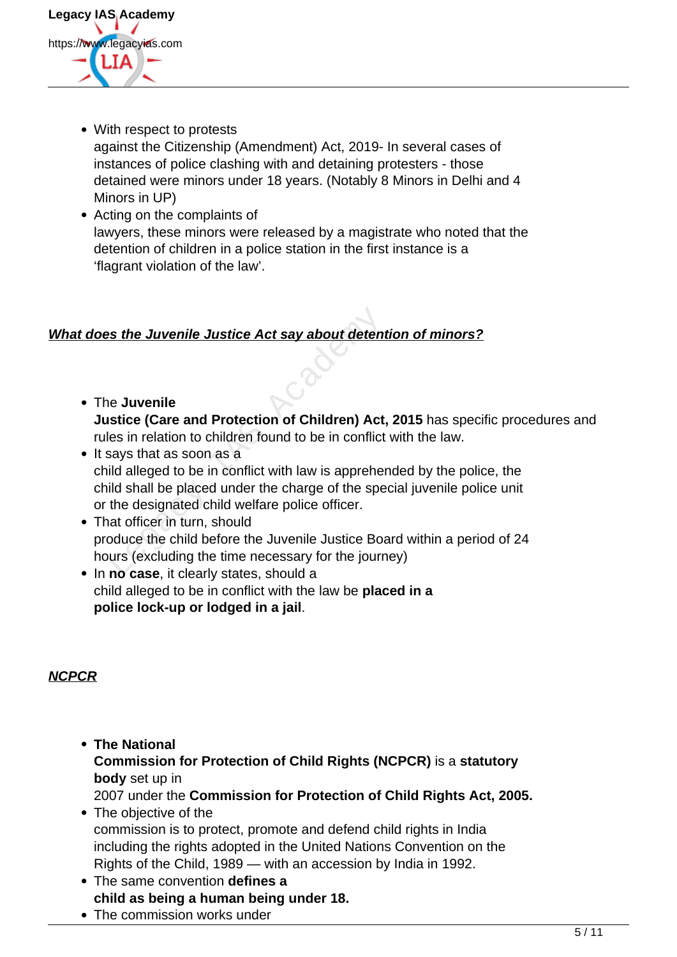

- With respect to protests against the Citizenship (Amendment) Act, 2019- In several cases of instances of police clashing with and detaining protesters - those detained were minors under 18 years. (Notably 8 Minors in Delhi and 4 Minors in UP)
- Acting on the complaints of lawyers, these minors were released by a magistrate who noted that the detention of children in a police station in the first instance is a 'flagrant violation of the law'.

## **What does the Juvenile Justice Act say about detention of minors?**

- The **Juvenile Justice (Care and Protection of Children) Act, 2015** has specific procedures and rules in relation to children found to be in conflict with the law.
- It says that as soon as a child alleged to be in conflict with law is apprehended by the police, the child shall be placed under the charge of the special juvenile police unit or the designated child welfare police officer. **Example Solution Solution Start Control Control Control Control Control Control Control Control Control Control Control Control Control Control Control Control Control Control Control Control Control Control Control Contr**
- That officer in turn, should produce the child before the Juvenile Justice Board within a period of 24 hours (excluding the time necessary for the journey)
- In **no case**, it clearly states, should a child alleged to be in conflict with the law be **placed in a police lock-up or lodged in a jail**.

# **NCPCR**

- **The National Commission for Protection of Child Rights (NCPCR)** is a **statutory body** set up in 2007 under the **Commission for Protection of Child Rights Act, 2005.**
- The objective of the commission is to protect, promote and defend child rights in India including the rights adopted in the United Nations Convention on the Rights of the Child, 1989 — with an accession by India in 1992.
- The same convention **defines a child as being a human being under 18.**
- The commission works under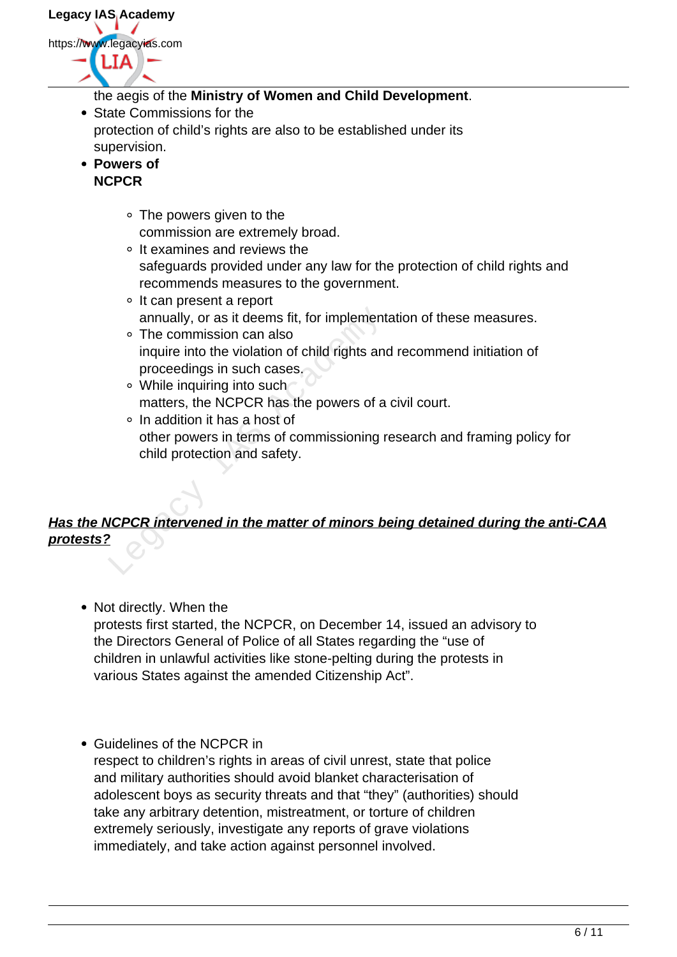**Legacy IAS Academy** https://www.legacyias.com 1 T A

- the aegis of the **Ministry of Women and Child Development**.
- State Commissions for the protection of child's rights are also to be established under its supervision.
- **Powers of NCPCR**
	- The powers given to the commission are extremely broad.
	- $\circ$  It examines and reviews the safeguards provided under any law for the protection of child rights and recommends measures to the government.
	- It can present a report annually, or as it deems fit, for implementation of these measures.
	- The commission can also inquire into the violation of child rights and recommend initiation of proceedings in such cases. annually, or as it deems fit, for implement<br>
	• The commission can also<br>
	inquire into the violation of child rights an<br>
	proceedings in such cases.<br>
	• While inquiring into such<br>
	matters, the NCPCR has the powers of a<br>
	• In a
		- While inquiring into such matters, the NCPCR has the powers of a civil court.
		- In addition it has a host of other powers in terms of commissioning research and framing policy for child protection and safety.

# **Has the NCPCR intervened in the matter of minors being detained during the anti-CAA protests?**

- Not directly. When the protests first started, the NCPCR, on December 14, issued an advisory to the Directors General of Police of all States regarding the "use of children in unlawful activities like stone-pelting during the protests in various States against the amended Citizenship Act".
- Guidelines of the NCPCR in respect to children's rights in areas of civil unrest, state that police and military authorities should avoid blanket characterisation of adolescent boys as security threats and that "they" (authorities) should take any arbitrary detention, mistreatment, or torture of children extremely seriously, investigate any reports of grave violations immediately, and take action against personnel involved.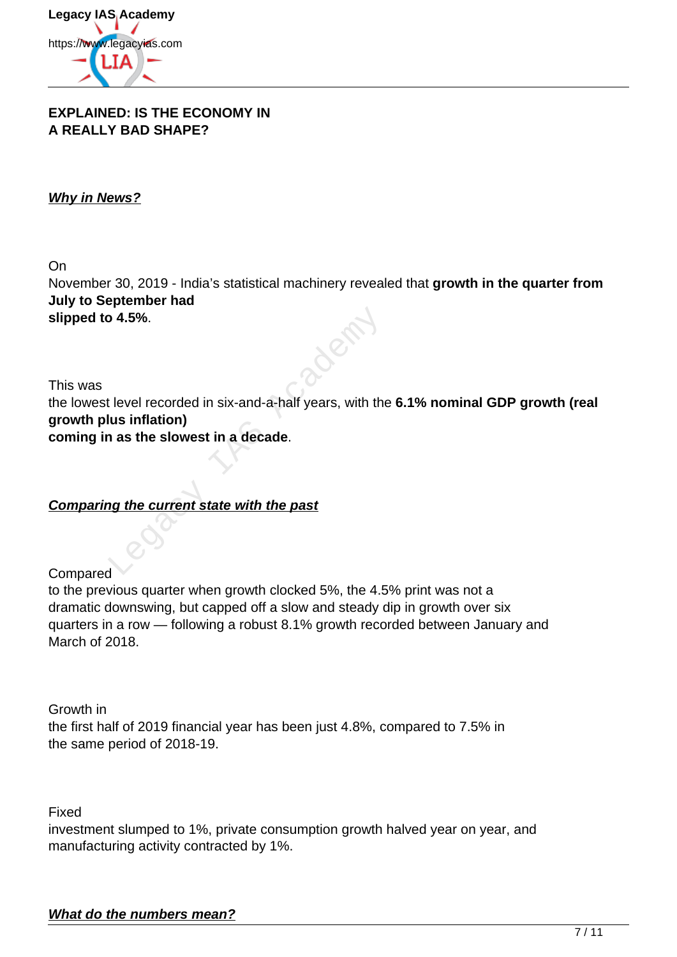

#### **EXPLAINED: IS THE ECONOMY IN A REALLY BAD SHAPE?**

## **Why in News?**

On November 30, 2019 - India's statistical machinery revealed that **growth in the quarter from July to September had slipped to 4.5%**.

This was the lowest level recorded in six-and-a-half years, with the **6.1% nominal GDP growth (real growth plus inflation) coming in as the slowest in a decade**. o 4.5%.<br>
Level recorded in six-and-a-half years, with the<br>
lus inflation)<br>
as the slowest in a decade.<br>
Academy of the current state with the past

**Comparing the current state with the past**

Compared

to the previous quarter when growth clocked 5%, the 4.5% print was not a dramatic downswing, but capped off a slow and steady dip in growth over six quarters in a row — following a robust 8.1% growth recorded between January and March of 2018.

Growth in the first half of 2019 financial year has been just 4.8%, compared to 7.5% in the same period of 2018-19.

Fixed

investment slumped to 1%, private consumption growth halved year on year, and manufacturing activity contracted by 1%.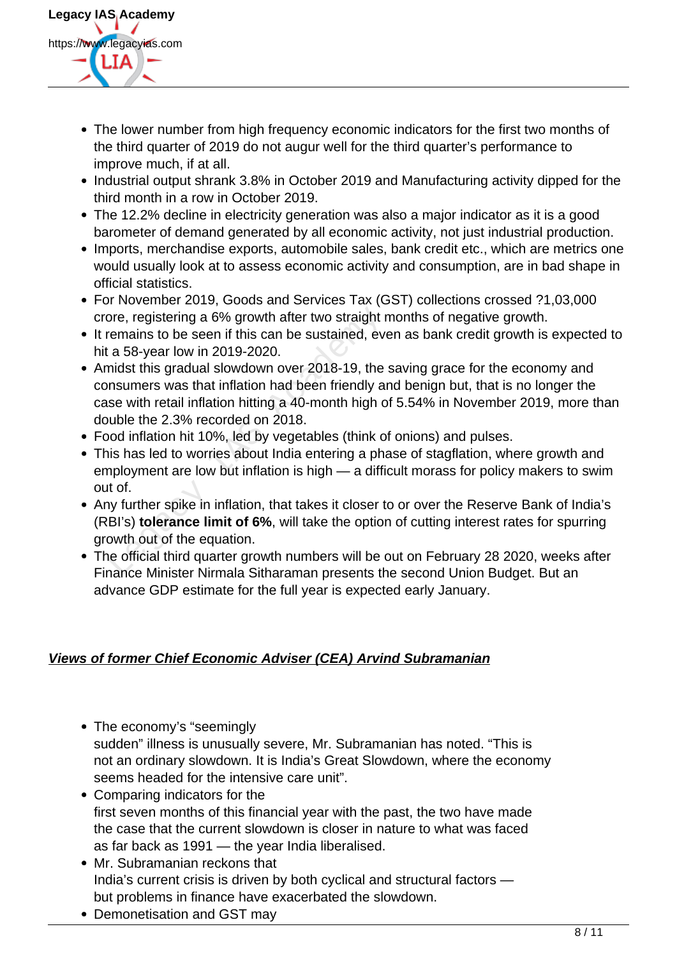

- The lower number from high frequency economic indicators for the first two months of the third quarter of 2019 do not augur well for the third quarter's performance to improve much, if at all.
- Industrial output shrank 3.8% in October 2019 and Manufacturing activity dipped for the third month in a row in October 2019.
- The 12.2% decline in electricity generation was also a major indicator as it is a good barometer of demand generated by all economic activity, not just industrial production.
- Imports, merchandise exports, automobile sales, bank credit etc., which are metrics one would usually look at to assess economic activity and consumption, are in bad shape in official statistics.
- For November 2019, Goods and Services Tax (GST) collections crossed ?1,03,000 crore, registering a 6% growth after two straight months of negative growth.
- It remains to be seen if this can be sustained, even as bank credit growth is expected to hit a 58-year low in 2019-2020.
- Amidst this gradual slowdown over 2018-19, the saving grace for the economy and consumers was that inflation had been friendly and benign but, that is no longer the case with retail inflation hitting a 40-month high of 5.54% in November 2019, more than double the 2.3% recorded on 2018. pre, registering a 6% growth after two straight remains to be seen if this can be sustained, ev a 58-year low in 2019-2020.<br>
midst this gradual slowdown over 2018-19, the nsumers was that inflation had been friendly a se w
- Food inflation hit 10%, led by vegetables (think of onions) and pulses.
- This has led to worries about India entering a phase of stagflation, where growth and employment are low but inflation is high — a difficult morass for policy makers to swim out of.
- Any further spike in inflation, that takes it closer to or over the Reserve Bank of India's (RBI's) **tolerance limit of 6%**, will take the option of cutting interest rates for spurring growth out of the equation.
- The official third quarter growth numbers will be out on February 28 2020, weeks after Finance Minister Nirmala Sitharaman presents the second Union Budget. But an advance GDP estimate for the full year is expected early January.

# **Views of former Chief Economic Adviser (CEA) Arvind Subramanian**

- The economy's "seemingly sudden" illness is unusually severe, Mr. Subramanian has noted. "This is not an ordinary slowdown. It is India's Great Slowdown, where the economy seems headed for the intensive care unit".
- Comparing indicators for the first seven months of this financial year with the past, the two have made the case that the current slowdown is closer in nature to what was faced as far back as 1991 — the year India liberalised.
- Mr. Subramanian reckons that India's current crisis is driven by both cyclical and structural factors but problems in finance have exacerbated the slowdown.
- Demonetisation and GST may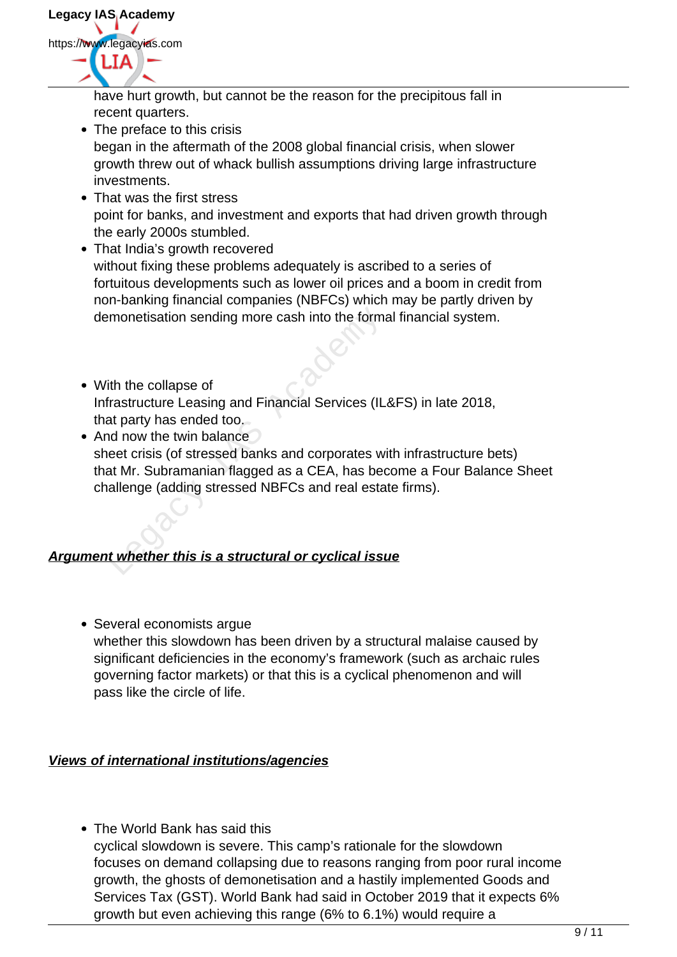have hurt growth, but cannot be the reason for the precipitous fall in recent quarters.

- The preface to this crisis began in the aftermath of the 2008 global financial crisis, when slower growth threw out of whack bullish assumptions driving large infrastructure investments.
- That was the first stress point for banks, and investment and exports that had driven growth through the early 2000s stumbled.
- That India's growth recovered without fixing these problems adequately is ascribed to a series of fortuitous developments such as lower oil prices and a boom in credit from non-banking financial companies (NBFCs) which may be partly driven by demonetisation sending more cash into the formal financial system.
- With the collapse of Infrastructure Leasing and Financial Services (IL&FS) in late 2018, that party has ended too.
- And now the twin balance sheet crisis (of stressed banks and corporates with infrastructure bets) that Mr. Subramanian flagged as a CEA, has become a Four Balance Sheet challenge (adding stressed NBFCs and real estate firms). monetisation sending more cash into the form:<br>
ith the collapse of<br>
ith the collapse of<br>
ith the collapse of<br>
at party has ended too.<br>
Ind now the twin balance<br>
eet crisis (of stressed banks and corporates w<br>
at Mr. Subram

# **Argument whether this is a structural or cyclical issue**

• Several economists arque whether this slowdown has been driven by a structural malaise caused by significant deficiencies in the economy's framework (such as archaic rules governing factor markets) or that this is a cyclical phenomenon and will pass like the circle of life.

# **Views of international institutions/agencies**

• The World Bank has said this cyclical slowdown is severe. This camp's rationale for the slowdown focuses on demand collapsing due to reasons ranging from poor rural income growth, the ghosts of demonetisation and a hastily implemented Goods and Services Tax (GST). World Bank had said in October 2019 that it expects 6% growth but even achieving this range (6% to 6.1%) would require a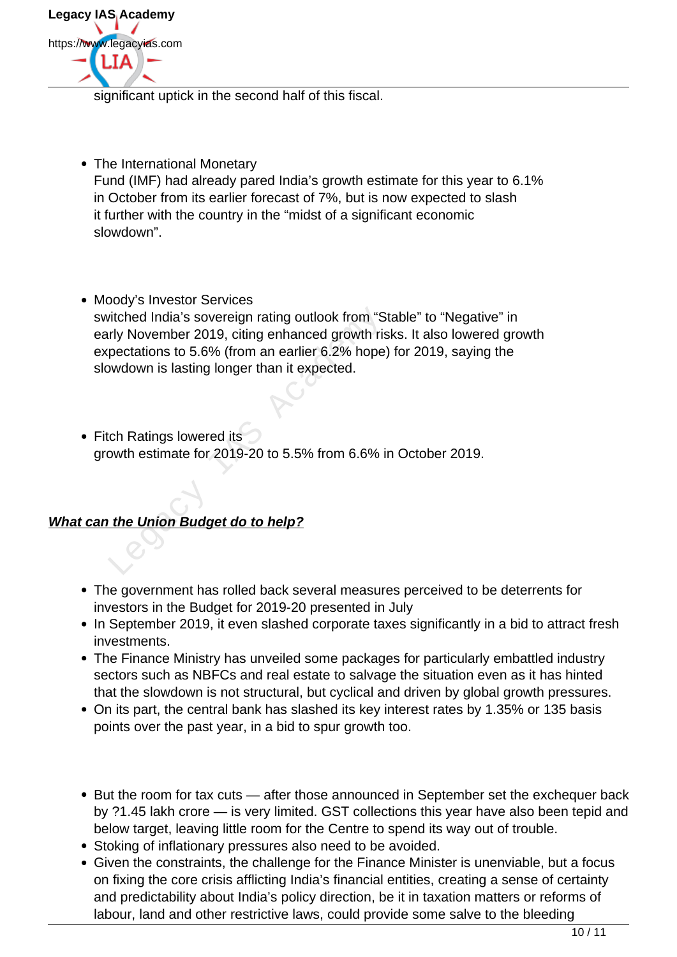

significant uptick in the second half of this fiscal.

- The International Monetary Fund (IMF) had already pared India's growth estimate for this year to 6.1% in October from its earlier forecast of 7%, but is now expected to slash it further with the country in the "midst of a significant economic slowdown".
- Moody's Investor Services switched India's sovereign rating outlook from "Stable" to "Negative" in early November 2019, citing enhanced growth risks. It also lowered growth expectations to 5.6% (from an earlier 6.2% hope) for 2019, saying the slowdown is lasting longer than it expected. itched India's sovereign rating outlook from "S<br>rly November 2019, citing enhanced growth ris<br>pectations to 5.6% (from an earlier 6.2% hope<br>wdown is lasting longer than it expected.<br>ch Ratings lowered its<br>owth estimate for
- Fitch Ratings lowered its growth estimate for 2019-20 to 5.5% from 6.6% in October 2019.

# **What can the Union Budget do to help?**

- The government has rolled back several measures perceived to be deterrents for investors in the Budget for 2019-20 presented in July
- In September 2019, it even slashed corporate taxes significantly in a bid to attract fresh investments.
- The Finance Ministry has unveiled some packages for particularly embattled industry sectors such as NBFCs and real estate to salvage the situation even as it has hinted that the slowdown is not structural, but cyclical and driven by global growth pressures.
- On its part, the central bank has slashed its key interest rates by 1.35% or 135 basis points over the past year, in a bid to spur growth too.
- But the room for tax cuts after those announced in September set the exchequer back by ?1.45 lakh crore — is very limited. GST collections this year have also been tepid and below target, leaving little room for the Centre to spend its way out of trouble.
- Stoking of inflationary pressures also need to be avoided.
- Given the constraints, the challenge for the Finance Minister is unenviable, but a focus on fixing the core crisis afflicting India's financial entities, creating a sense of certainty and predictability about India's policy direction, be it in taxation matters or reforms of labour, land and other restrictive laws, could provide some salve to the bleeding